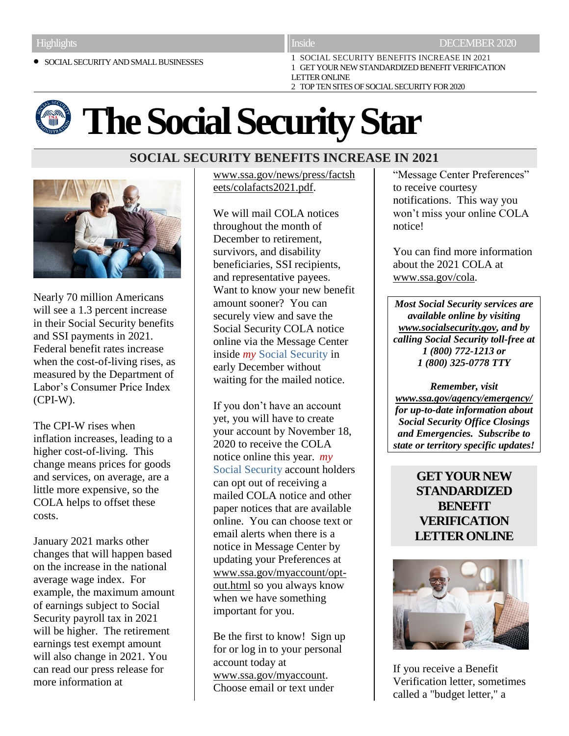**SOCIAL SECURITY AND SMALL BUSINESSES** 

1 SOCIAL SECURITY BENEFITS INCREASE IN 2021 1 GET YOUR NEW STANDARDIZED BENEFIT VERIFICATION LETTER ONLINE 2 TOP TEN SITES OF SOCIAL SECURITY FOR 2020

# **The Social Security Star**

# **SOCIAL SECURITY BENEFITS INCREASE IN 2021**



Nearly 70 million Americans will see a 1.3 percent increase in their Social Security benefits and SSI payments in 2021. Federal benefit rates increase when the cost-of-living rises, as measured by the Department of Labor's Consumer Price Index (CPI-W).

The CPI-W rises when inflation increases, leading to a higher cost-of-living. This change means prices for goods and services, on average, are a little more expensive, so the COLA helps to offset these costs.

January 2021 marks other changes that will happen based on the increase in the national average wage index. For example, the maximum amount of earnings subject to Social Security payroll tax in 2021 will be higher. The retirement earnings test exempt amount will also change in 2021. You can read our press release for more information at

[www.ssa.gov/news/press/factsh](https://www.ssa.gov/news/press/factsheets/colafacts2021.pdf?utm_source=mip1221&utm_medium=online-media&utm_campaign=ocomm-mip-21&utm_content=ss-benefits-increase-in-2021-001) [eets/colafacts2021.pdf.](https://www.ssa.gov/news/press/factsheets/colafacts2021.pdf?utm_source=mip1221&utm_medium=online-media&utm_campaign=ocomm-mip-21&utm_content=ss-benefits-increase-in-2021-001)

We will mail COLA notices throughout the month of December to retirement, survivors, and disability beneficiaries, SSI recipients, and representative payees. Want to know your new benefit amount sooner? You can securely view and save the Social Security COLA notice online via the Message Center inside *my* Social Security in early December without waiting for the mailed notice.

If you don't have an account yet, you will have to create your account by November 18, 2020 to receive the COLA notice online this year. *my* Social Security account holders can opt out of receiving a mailed COLA notice and other paper notices that are available online. You can choose text or email alerts when there is a notice in Message Center by updating your Preferences at [www.ssa.gov/myaccount/opt](https://www.ssa.gov/myaccount/opt-out.html?utm_source=mip1221&utm_medium=online-media&utm_campaign=ocomm-mip-21&utm_content=ss-benefits-increase-in-2021-002)[out.html](https://www.ssa.gov/myaccount/opt-out.html?utm_source=mip1221&utm_medium=online-media&utm_campaign=ocomm-mip-21&utm_content=ss-benefits-increase-in-2021-002) so you always know when we have something important for you.

Be the first to know! Sign up for or log in to your personal account today at [www.ssa.gov/myaccount.](https://www.ssa.gov/myaccount/?utm_source=mip1221&utm_medium=online-media&utm_campaign=ocomm-mip-21&utm_content=ss-benefits-increase-in-2021-003) Choose email or text under

"Message Center Preferences" to receive courtesy notifications. This way you won't miss your online COLA notice!

You can find more information about the 2021 COLA at [www.ssa.gov/cola.](https://www.ssa.gov/cola/?utm_source=mip1221&utm_medium=online-media&utm_campaign=ocomm-mip-21&utm_content=ss-benefits-increase-in-2021-004)

*Most Social Security services are available online by visiting [www.socialsecurity.gov,](http://www.socialsecurity.gov/) and by calling Social Security toll-free at 1 (800) 772-1213 or 1 (800) 325-0778 TTY*

*Remember, visit [www.ssa.gov/agency/emergency/](http://www.ssa.gov/agency/emergency/) for up-to-date information about Social Security Office Closings and Emergencies. Subscribe to state or territory specific updates!*

> **GET YOUR NEW STANDARDIZED BENEFIT VERIFICATION LETTER ONLINE**



If you receive a Benefit Verification letter, sometimes called a "budget letter," a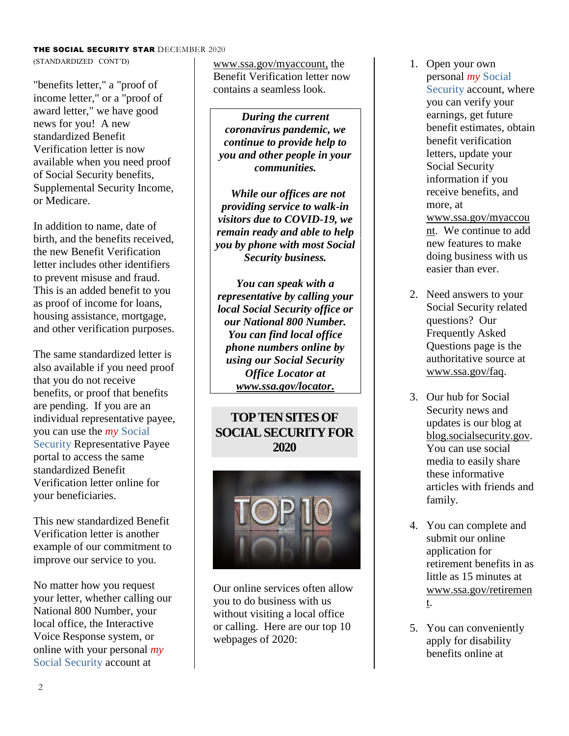### THE SOCIAL SECURITY STAR DECEMBER 2020

(STANDARDIZED CONT'D)

"benefits letter," a "proof of income letter," or a "proof of award letter," we have good news for you! A new standardized Benefit Verification letter is now available when you need proof of Social Security benefits, Supplemental Security Income, or Medicare.

In addition to name, date of birth, and the benefits received, the new Benefit Verification letter includes other identifiers to prevent misuse and fraud. This is an added benefit to you as proof of income for loans, housing assistance, mortgage, and other verification purposes.

The same standardized letter is also available if you need proof that you do not receive benefits, or proof that benefits are pending. If you are an individual representative payee, you can use the *my* Social Security Representative Payee portal to access the same standardized Benefit Verification letter online for your beneficiaries.

This new standardized Benefit Verification letter is another example of our commitment to improve our service to you.

No matter how you request your letter, whether calling our National 800 Number, your local office, the Interactive Voice Response system, or online with your personal *my* Social Security account at

[www.ssa.gov/myaccount,](https://www.ssa.gov/myaccount/?utm_source=mip1221&utm_medium=online-media&utm_campaign=ocomm-mip-21&utm_content=get-your-new-standardized-benefit-verification-letter-online-001) the Benefit Verification letter now contains a seamless look.

*During the current coronavirus pandemic, we continue to provide help to you and other people in your communities.*

*While our offices are not providing service to walk-in visitors due to COVID-19, we remain ready and able to help you by phone with most Social Security business.* 

*You can speak with a representative by calling your local Social Security office or our National 800 Number. You can find local office phone numbers online by using our Social Security Office Locator at [www.ssa.gov/locator.](http://www.ssa.gov/locator)*

## **TOP TEN SITES OF SOCIAL SECURITY FOR 2020**



Our online services often allow you to do business with us without visiting a local office or calling. Here are our top 10 webpages of 2020:

- 1. Open your own personal *my* Social Security account, where you can verify your earnings, get future benefit estimates, obtain benefit verification letters, update your Social Security information if you receive benefits, and more, at [www.ssa.gov/myaccou](https://www.ssa.gov/myaccount/?utm_source=mip1221&utm_medium=online-media&utm_campaign=ocomm-mip-21&utm_content=top-ten-sites-of-ss-for-2020-001) [nt.](https://www.ssa.gov/myaccount/?utm_source=mip1221&utm_medium=online-media&utm_campaign=ocomm-mip-21&utm_content=top-ten-sites-of-ss-for-2020-001) We continue to add new features to make doing business with us easier than ever.
- 2. Need answers to your Social Security related questions? Our Frequently Asked Questions page is the authoritative source at [www.ssa.gov/faq.](https://faq.ssa.gov/en-US/?utm_source=mip1221&utm_medium=online-media&utm_campaign=ocomm-mip-21&utm_content=top-ten-sites-of-ss-for-2020-002)
- 3. Our hub for Social Security news and updates is our blog at [blog.socialsecurity.gov.](https://blog.ssa.gov/?utm_source=mip1221&utm_medium=online-media&utm_campaign=ocomm-mip-21&utm_content=top-ten-sites-of-ss-for-2020-003) You can use social media to easily share these informative articles with friends and family.
- 4. You can complete and submit our online application for retirement benefits in as little as 15 minutes at [www.ssa.gov/retiremen](https://www.ssa.gov/benefits/retirement/?utm_source=mip1221&utm_medium=online-media&utm_campaign=ocomm-mip-21&utm_content=top-ten-sites-of-ss-for-2020-004) [t.](https://www.ssa.gov/benefits/retirement/?utm_source=mip1221&utm_medium=online-media&utm_campaign=ocomm-mip-21&utm_content=top-ten-sites-of-ss-for-2020-004)
- 5. You can conveniently apply for disability benefits online at